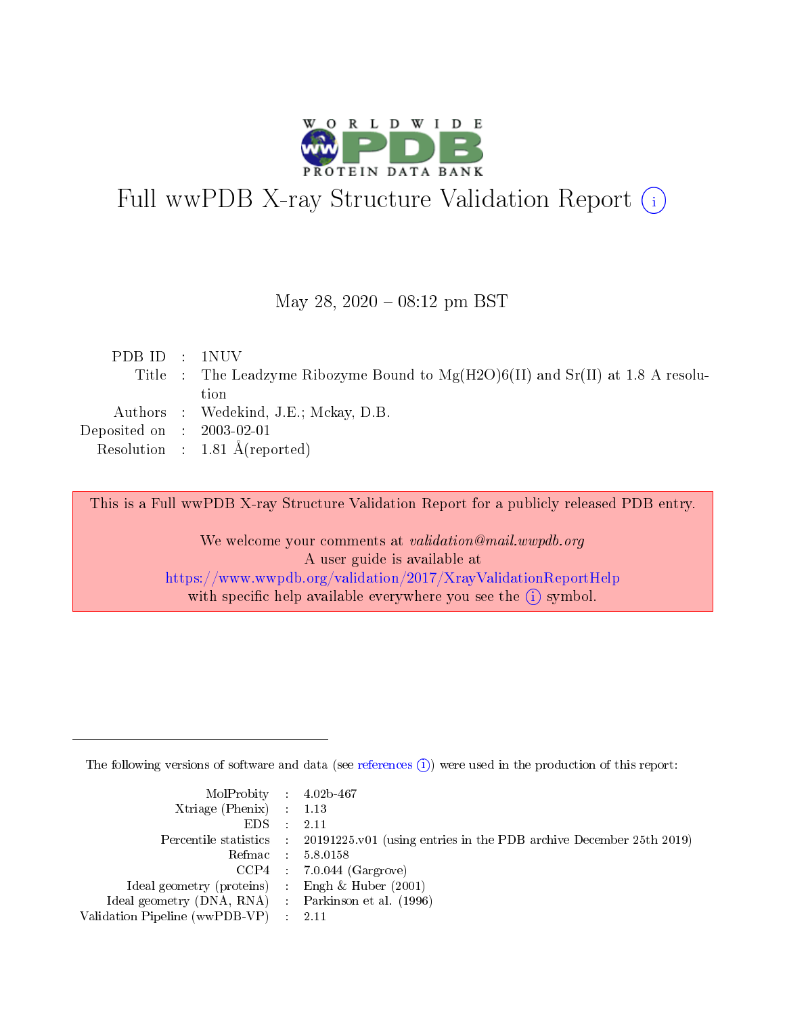

# Full wwPDB X-ray Structure Validation Report (i)

#### May 28, 2020 - 08:12 pm BST

| PDB ID : 1NUV               |                                                                                     |
|-----------------------------|-------------------------------------------------------------------------------------|
|                             | Title : The Leadzyme Ribozyme Bound to $Mg(H2O)6(II)$ and $Sr(II)$ at 1.8 A resolu- |
|                             | tion                                                                                |
|                             | Authors : Wedekind, J.E.; Mckay, D.B.                                               |
| Deposited on : $2003-02-01$ |                                                                                     |
|                             | Resolution : $1.81 \text{ Å}$ (reported)                                            |

This is a Full wwPDB X-ray Structure Validation Report for a publicly released PDB entry.

We welcome your comments at validation@mail.wwpdb.org A user guide is available at <https://www.wwpdb.org/validation/2017/XrayValidationReportHelp> with specific help available everywhere you see the  $(i)$  symbol.

The following versions of software and data (see [references](https://www.wwpdb.org/validation/2017/XrayValidationReportHelp#references)  $(i)$ ) were used in the production of this report:

| MolProbity : 4.02b-467                              |                                                                                            |
|-----------------------------------------------------|--------------------------------------------------------------------------------------------|
| $Xtriangle (Phenix)$ : 1.13                         |                                                                                            |
| $EDS = 2.11$                                        |                                                                                            |
|                                                     | Percentile statistics : 20191225.v01 (using entries in the PDB archive December 25th 2019) |
|                                                     | Refmac : 5.8.0158                                                                          |
|                                                     | $CCP4$ 7.0.044 (Gargrove)                                                                  |
| Ideal geometry (proteins) : Engh $\&$ Huber (2001)  |                                                                                            |
| Ideal geometry (DNA, RNA) : Parkinson et al. (1996) |                                                                                            |
| Validation Pipeline (wwPDB-VP) : 2.11               |                                                                                            |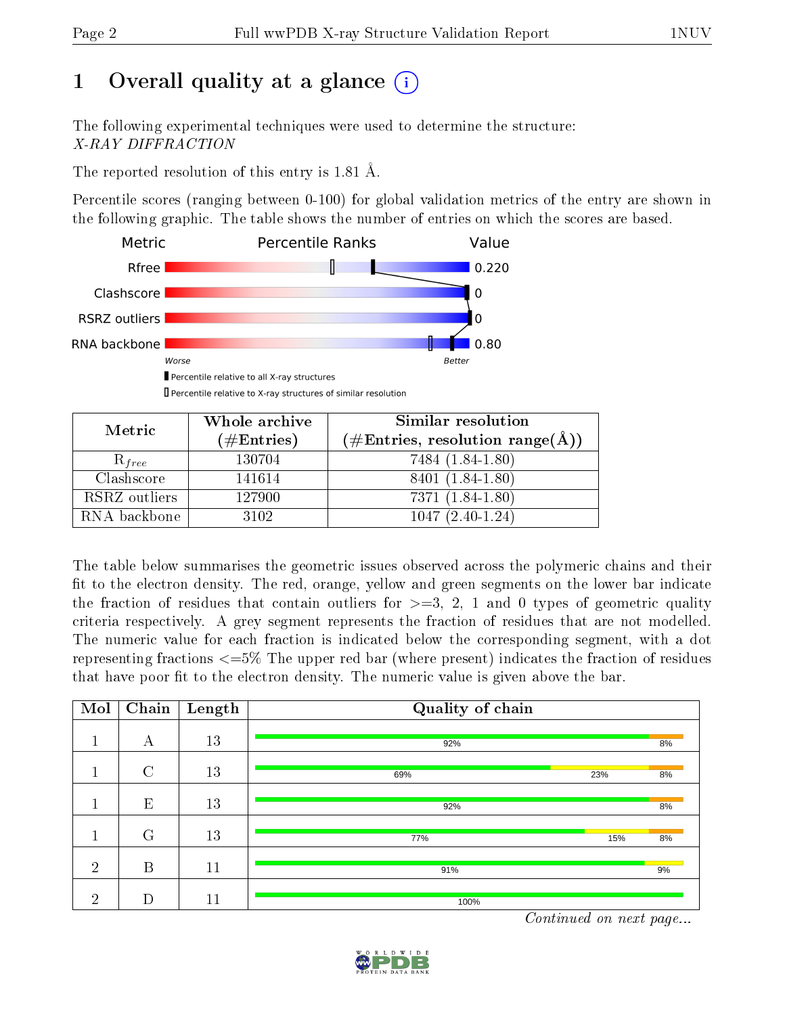# 1 [O](https://www.wwpdb.org/validation/2017/XrayValidationReportHelp#overall_quality)verall quality at a glance  $(i)$

The following experimental techniques were used to determine the structure: X-RAY DIFFRACTION

The reported resolution of this entry is 1.81 Å.

Percentile scores (ranging between 0-100) for global validation metrics of the entry are shown in the following graphic. The table shows the number of entries on which the scores are based.



Percentile relative to X-ray structures of similar resolution

| Metric        | Whole archive        | Similar resolution                 |  |  |  |
|---------------|----------------------|------------------------------------|--|--|--|
|               | $(\#\text{Entries})$ | $(\#Entries, resolution range(A))$ |  |  |  |
| $R_{free}$    | 130704               | 7484 (1.84-1.80)                   |  |  |  |
| Clashscore    | 141614               | 8401 (1.84-1.80)                   |  |  |  |
| RSRZ outliers | 127900               | 7371 (1.84-1.80)                   |  |  |  |
| RNA backbone  | 3102                 | $1047(2.40-1.24)$                  |  |  |  |

The table below summarises the geometric issues observed across the polymeric chains and their fit to the electron density. The red, orange, yellow and green segments on the lower bar indicate the fraction of residues that contain outliers for  $\geq=3$ , 2, 1 and 0 types of geometric quality criteria respectively. A grey segment represents the fraction of residues that are not modelled. The numeric value for each fraction is indicated below the corresponding segment, with a dot representing fractions  $\epsilon = 5\%$  The upper red bar (where present) indicates the fraction of residues that have poor fit to the electron density. The numeric value is given above the bar.

| Mol               | Chain          | Length | Quality of chain                                   |    |
|-------------------|----------------|--------|----------------------------------------------------|----|
| $\mathbf 1$       | А              | 13     | 92%                                                | 8% |
| $\mathbf{1}$<br>л | $\overline{C}$ | 13     | 23%<br>69%                                         | 8% |
| п                 | E              | 13     | 92%                                                | 8% |
| $\mathbf{1}$      | $\rm G$        | 13     | 77%<br>15%                                         | 8% |
| $\overline{2}$    | B              | 11     | 91%                                                | 9% |
| $\overline{2}$    | D              | 11     | 100%<br><b>Contract Contract Contract Contract</b> |    |

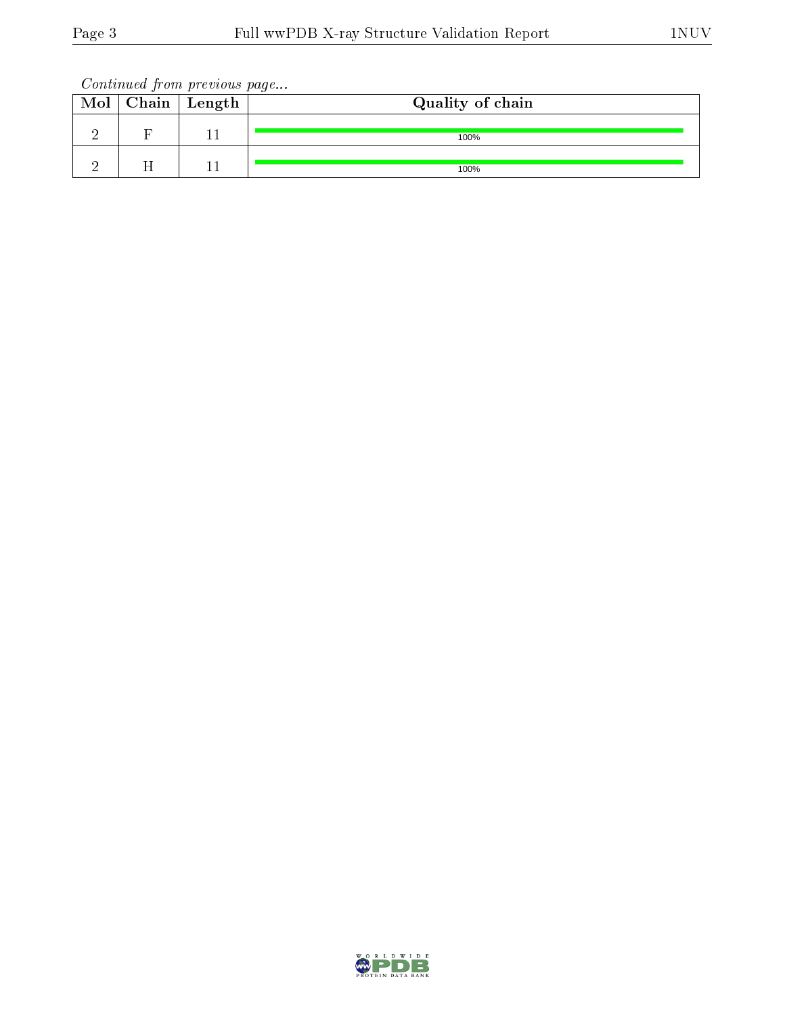Continued from previous page...

| Mol | $\vert$ Chain $\vert$ Length | Quality of chain |
|-----|------------------------------|------------------|
|     |                              | 100%             |
|     |                              | 100%             |

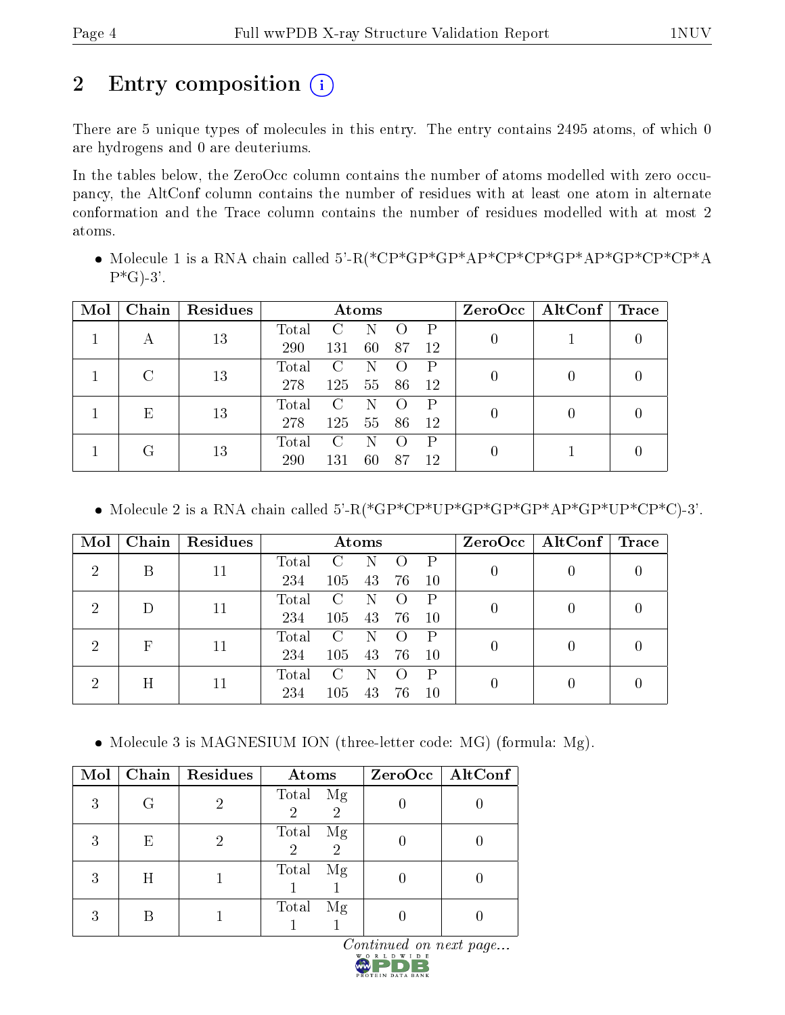# 2 Entry composition  $\left( \cdot \right)$

There are 5 unique types of molecules in this entry. The entry contains 2495 atoms, of which 0 are hydrogens and 0 are deuteriums.

In the tables below, the ZeroOcc column contains the number of atoms modelled with zero occupancy, the AltConf column contains the number of residues with at least one atom in alternate conformation and the Trace column contains the number of residues modelled with at most 2 atoms.

 Molecule 1 is a RNA chain called 5'-R(\*CP\*GP\*GP\*AP\*CP\*CP\*GP\*AP\*GP\*CP\*CP\*A  $P*G$ -3'.

| Mol | Chain | Residues | Atoms             |                   |    |    | $ZeroOcc \mid AltConf \mid Trace$ |  |                  |  |
|-----|-------|----------|-------------------|-------------------|----|----|-----------------------------------|--|------------------|--|
|     |       | 13       | Total             | $\mathcal{C}_{1}$ | N  |    | Ρ                                 |  |                  |  |
|     | А     |          | 290               | 131               | 60 | 87 | 12                                |  |                  |  |
|     |       | 13       | Total             | C                 |    |    | Р                                 |  | $\cup$           |  |
|     |       |          | 278               | 125               | 55 | 86 | 12                                |  |                  |  |
|     |       | 13<br>Ε  | Total             | C                 | N  |    | Ρ                                 |  | $\left( \right)$ |  |
|     |       |          | 278               | 125               | 55 | 86 | 12                                |  |                  |  |
| G   |       | Total    | $\mathcal{C}_{1}$ | N                 |    | Ρ  |                                   |  |                  |  |
|     |       | 13       | 290               | 131               | 60 | 87 | 12                                |  |                  |  |

Molecule 2 is a RNA chain called 5'-R(\*GP\*CP\*UP\*GP\*GP\*GP\*AP\*GP\*UP\*CP\*C)-3'.

| Mol                         | Chain | Residues | Atoms |               |    |    | $ZeroOcc \   \$ AltConf | $\Gamma$ Trace |  |  |
|-----------------------------|-------|----------|-------|---------------|----|----|-------------------------|----------------|--|--|
| റ                           | В     | 11       | Total | $\mathbf{C}$  | N  |    |                         |                |  |  |
|                             |       |          | 234   | 105           | 43 | 76 | 10                      |                |  |  |
| 2                           |       | 11       | Total | $\mathcal{C}$ | N  |    |                         |                |  |  |
|                             |       |          | 234   | 105           | 43 | 76 | 10                      |                |  |  |
| $\mathcal{D}_{\mathcal{A}}$ |       | F<br>11  | Total | $\mathcal{C}$ | N  |    | P                       |                |  |  |
|                             |       |          | 234   | 105           | 43 | 76 | 10                      |                |  |  |
| 2                           |       |          | Total | $\mathcal{C}$ | N  |    | P                       |                |  |  |
| Η                           |       | 11       | 234   | 105           | 43 | 76 | 10                      |                |  |  |

• Molecule 3 is MAGNESIUM ION (three-letter code: MG) (formula: Mg).

| Mol |   | Chain   Residues | Atoms                                        | ZeroOcc   AltConf |
|-----|---|------------------|----------------------------------------------|-------------------|
| 3   | G |                  | Total Mg<br>$\overline{2}$<br>$\overline{2}$ |                   |
| 3   | Ε |                  | Total<br>Mg<br>$\overline{2}$<br>2           |                   |
| 3   | Η |                  | Total<br>Mg                                  |                   |
| 3   |   |                  | Total<br>Mg                                  |                   |

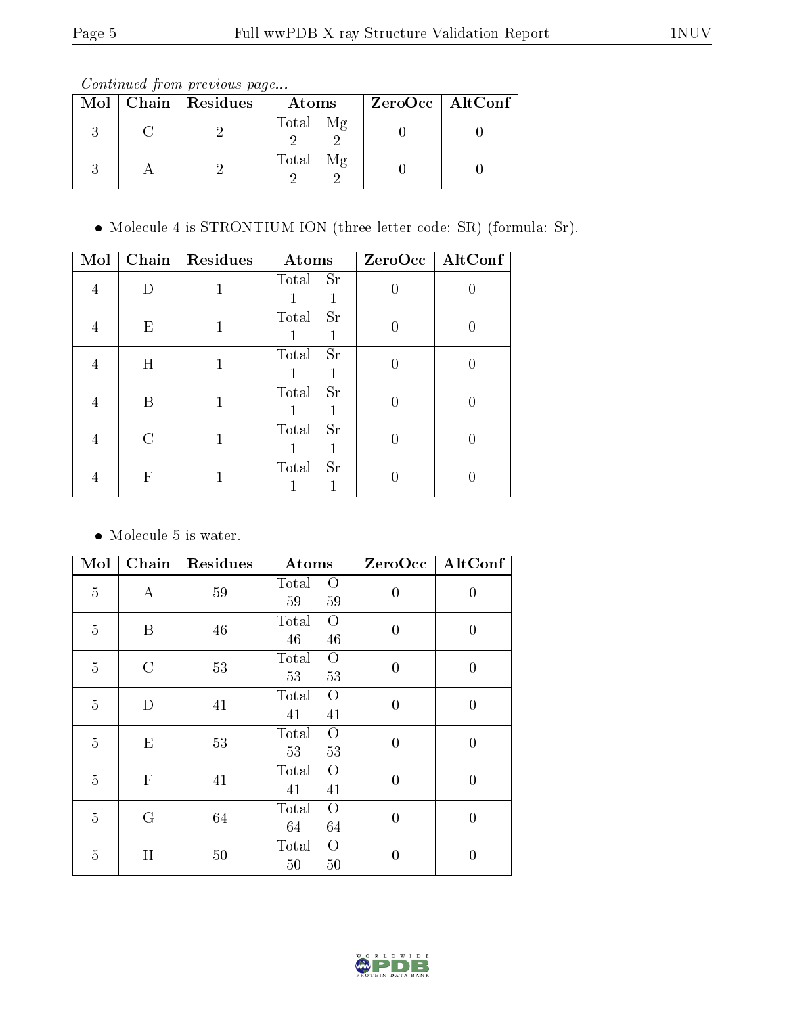Continued from previous page...

|  | Mol   Chain   Residues | Atoms       | $ZeroOcc$   AltConf |
|--|------------------------|-------------|---------------------|
|  |                        | Total Mg    |                     |
|  |                        | Total<br>Mg |                     |

Molecule 4 is STRONTIUM ION (three-letter code: SR) (formula: Sr).

| Mol | Chain | <b>Residues</b> | Atoms              | $ZeroOcc$   AltConf |
|-----|-------|-----------------|--------------------|---------------------|
|     |       |                 | Total Sr           |                     |
|     | E     |                 | Total<br><b>Sr</b> |                     |
|     | Η     |                 | <b>Sr</b><br>Total |                     |
|     | В     |                 | Total Sr           |                     |
|     |       |                 | Sr<br>Total        |                     |
|     | F     |                 | Total<br><b>Sr</b> |                     |

 $\bullet\,$  Molecule 5 is water.

| Mol            | Chain         | Residues | Atoms                               | ZeroOcc        | AltConf          |
|----------------|---------------|----------|-------------------------------------|----------------|------------------|
| $\overline{5}$ | $\bf{A}$      | 59       | Total<br>O<br>59<br>59              | $\overline{0}$ | $\boldsymbol{0}$ |
| $\overline{5}$ | B             | 46       | Total<br>O<br>46<br>46              | $\overline{0}$ | $\boldsymbol{0}$ |
| $\overline{5}$ | $\mathcal{C}$ | 53       | Total<br>$\overline{O}$<br>53<br>53 | $\overline{0}$ | $\overline{0}$   |
| $\overline{5}$ | D             | 41       | Total<br>$\overline{O}$<br>41<br>41 | $\overline{0}$ | $\boldsymbol{0}$ |
| $\overline{5}$ | E             | 53       | Total<br>$\overline{O}$<br>53<br>53 | $\overline{0}$ | $\overline{0}$   |
| $\overline{5}$ | $\mathbf{F}$  | 41       | Total<br>$\overline{O}$<br>41<br>41 | $\overline{0}$ | $\overline{0}$   |
| $\overline{5}$ | G             | 64       | Total<br>$\overline{O}$<br>64<br>64 | $\overline{0}$ | $\boldsymbol{0}$ |
| 5              | H             | 50       | Total<br>O<br>50<br>50              | $\theta$       | $\overline{0}$   |

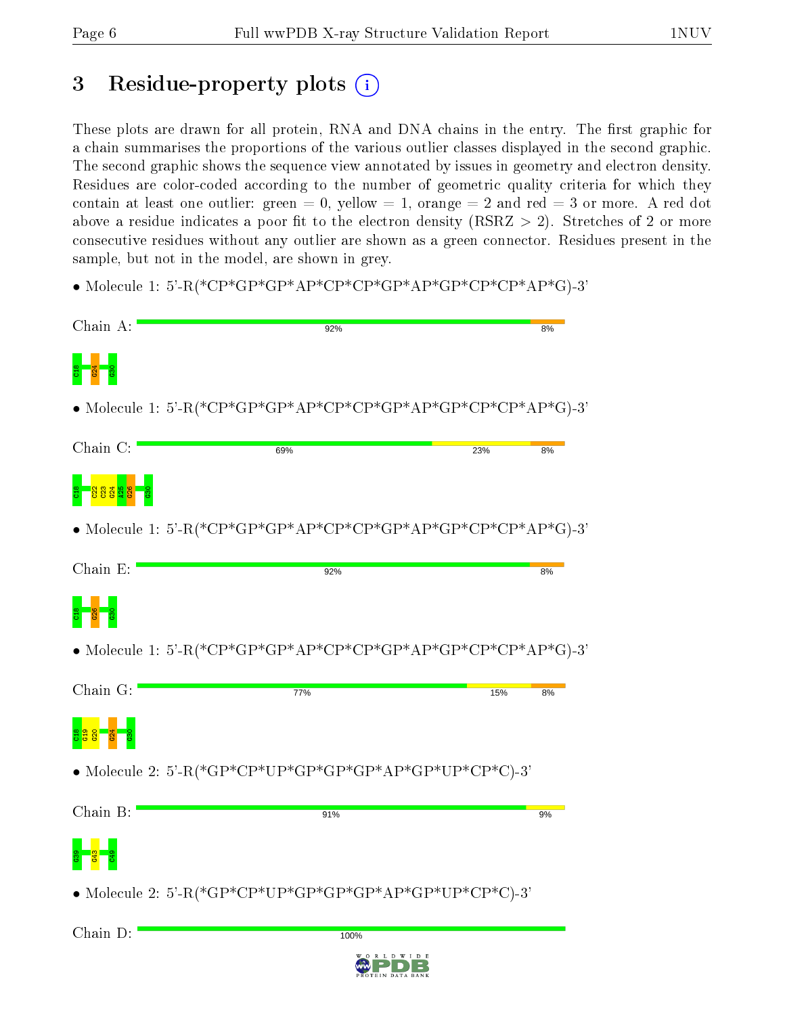# 3 Residue-property plots  $\binom{1}{1}$

These plots are drawn for all protein, RNA and DNA chains in the entry. The first graphic for a chain summarises the proportions of the various outlier classes displayed in the second graphic. The second graphic shows the sequence view annotated by issues in geometry and electron density. Residues are color-coded according to the number of geometric quality criteria for which they contain at least one outlier: green  $= 0$ , yellow  $= 1$ , orange  $= 2$  and red  $= 3$  or more. A red dot above a residue indicates a poor fit to the electron density (RSRZ  $> 2$ ). Stretches of 2 or more consecutive residues without any outlier are shown as a green connector. Residues present in the sample, but not in the model, are shown in grey.

• Molecule 1: 5'-R(\*CP\*GP\*GP\*AP\*CP\*CP\*GP\*AP\*GP\*CP\*CP\*AP\*G)-3'



 $100%$ 

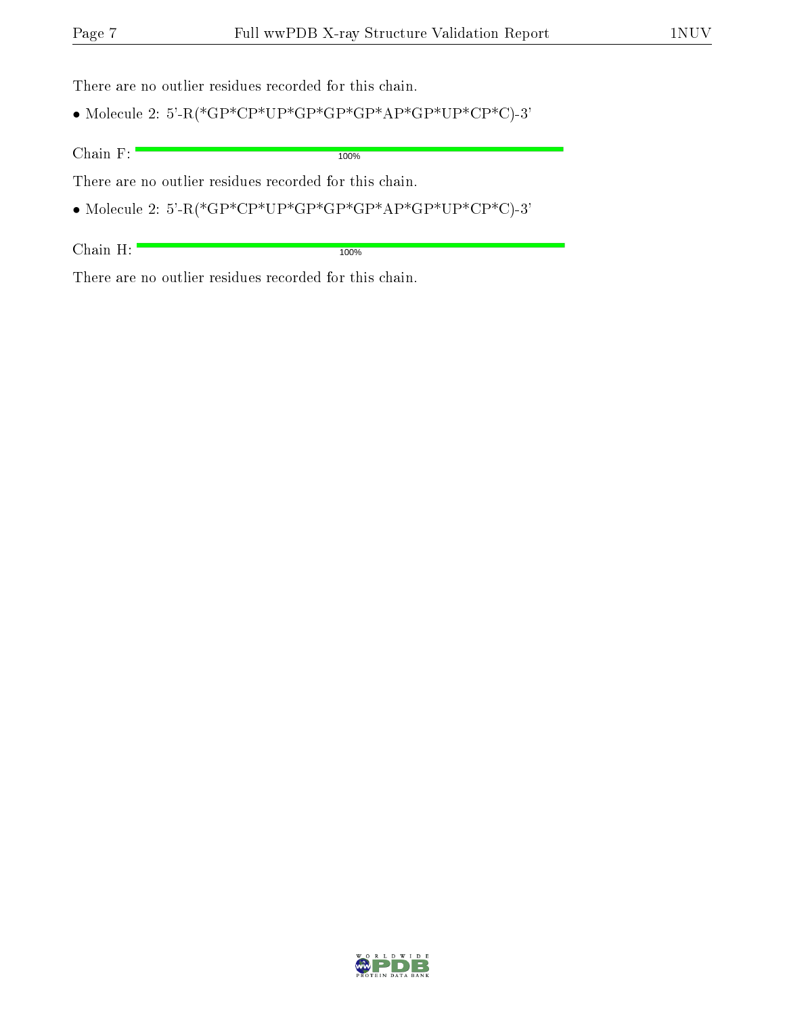There are no outlier residues recorded for this chain.

 $\bullet$  Molecule 2: 5'-R(\*GP\*CP\*UP\*GP\*GP\*GP\*AP\*GP\*UP\*CP\*C)-3'

Chain F:

100%

There are no outlier residues recorded for this chain.

 $\bullet$  Molecule 2: 5'-R(\*GP\*CP\*UP\*GP\*GP\*GP\*AP\*GP\*UP\*CP\*C)-3'

Chain H:

100%

There are no outlier residues recorded for this chain.

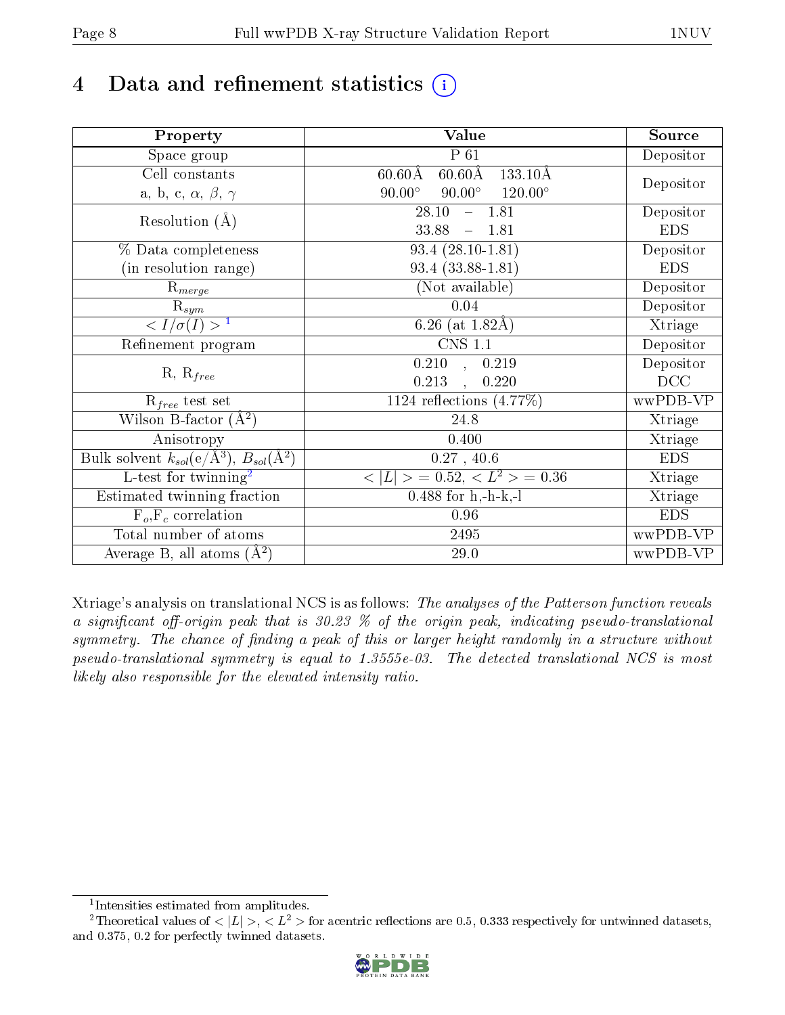# 4 Data and refinement statistics  $(i)$

| Property                                                             | Value                                                        | Source     |
|----------------------------------------------------------------------|--------------------------------------------------------------|------------|
| Space group                                                          | $P_61$                                                       | Depositor  |
| Cell constants                                                       | $60.60\text{\AA}$<br>$133.10\text{\AA}$<br>$60.60\text{\AA}$ |            |
| a, b, c, $\alpha$ , $\beta$ , $\gamma$                               | $90.00^\circ$<br>$90.00^\circ$<br>$120.00^{\circ}$           | Depositor  |
| Resolution $(A)$                                                     | 28.10<br>$-1.81$                                             | Depositor  |
|                                                                      | 33.88<br>$-1.81$                                             | <b>EDS</b> |
| % Data completeness                                                  | $93.4(28.10-1.81)$                                           | Depositor  |
| (in resolution range)                                                | $93.4(33.88-1.81)$                                           | <b>EDS</b> |
| $\mathrm{R}_{merge}$                                                 | (Not available)                                              | Depositor  |
| $\mathrm{R}_{sym}$                                                   | 0.04                                                         | Depositor  |
| $\sqrt{I/\sigma}(I) > 1$                                             | 6.26 (at $1.82\text{\AA}$ )                                  | Xtriage    |
| Refinement program                                                   | $\overline{\text{CNS} 1.1}$                                  | Depositor  |
|                                                                      | $\overline{0.210}$ ,<br>0.219                                | Depositor  |
| $R, R_{free}$                                                        | 0.213<br>0.220                                               | DCC        |
| $R_{free}$ test set                                                  | 1124 reflections $(4.77\%)$                                  | wwPDB-VP   |
| Wilson B-factor $(A^2)$                                              | 24.8                                                         | Xtriage    |
| Anisotropy                                                           | 0.400                                                        | Xtriage    |
| Bulk solvent $k_{sol}(e/\mathring{A}^3)$ , $B_{sol}(\mathring{A}^2)$ | 0.27, 40.6                                                   | <b>EDS</b> |
| $\overline{L-test for }$ twinning <sup>2</sup>                       | $< L >$ = 0.52, $< L^2 >$ = 0.36                             | Xtriage    |
| Estimated twinning fraction                                          | $0.488$ for h,-h-k,-l                                        | Xtriage    |
| $F_o, F_c$ correlation                                               | 0.96                                                         | <b>EDS</b> |
| Total number of atoms                                                | 2495                                                         | wwPDB-VP   |
| Average B, all atoms $(A^2)$                                         | 29.0                                                         | wwPDB-VP   |

Xtriage's analysis on translational NCS is as follows: The analyses of the Patterson function reveals a significant off-origin peak that is  $30.23$  % of the origin peak, indicating pseudo-translational symmetry. The chance of finding a peak of this or larger height randomly in a structure without pseudo-translational symmetry is equal to 1.3555e-03. The detected translational NCS is most likely also responsible for the elevated intensity ratio.

<sup>&</sup>lt;sup>2</sup>Theoretical values of  $\langle |L| \rangle$ ,  $\langle L^2 \rangle$  for acentric reflections are 0.5, 0.333 respectively for untwinned datasets, and 0.375, 0.2 for perfectly twinned datasets.



<span id="page-7-1"></span><span id="page-7-0"></span><sup>1</sup> Intensities estimated from amplitudes.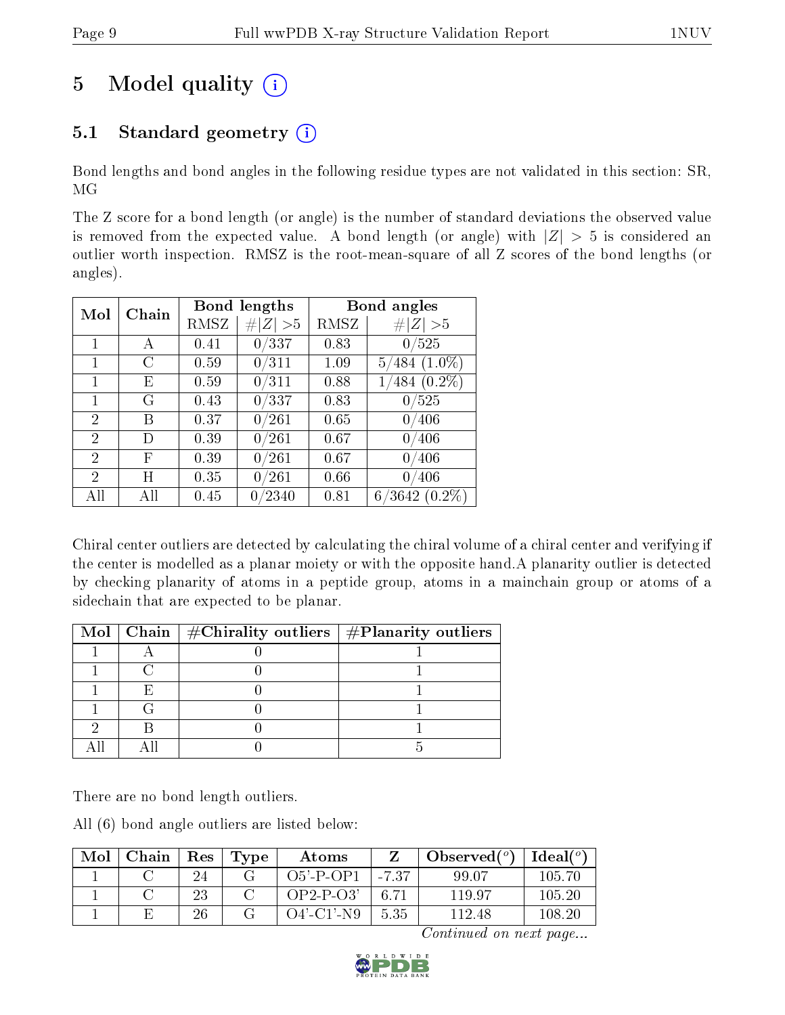# 5 Model quality  $(i)$

### 5.1 Standard geometry  $(i)$

Bond lengths and bond angles in the following residue types are not validated in this section: SR, MG

The Z score for a bond length (or angle) is the number of standard deviations the observed value is removed from the expected value. A bond length (or angle) with  $|Z| > 5$  is considered an outlier worth inspection. RMSZ is the root-mean-square of all Z scores of the bond lengths (or angles).

| Mol            | Chain |      | <b>Bond lengths</b> | Bond angles |                     |  |
|----------------|-------|------|---------------------|-------------|---------------------|--|
|                |       | RMSZ | # $ Z  > 5$         | RMSZ        | Z   > 5             |  |
| 1              | А     | 0.41 | 0/337               | 0.83        | 0/525               |  |
| $\mathbf{1}$   | С     | 0.59 | 0/311               | 1.09        | $5/484$ $(1.0\%)$   |  |
| 1              | Ε     | 0.59 | 0/311               | 0.88        | $1/484$ $(0.2\%)$   |  |
| 1              | G     | 0.43 | 0/337               | 0.83        | 0/525               |  |
| $\overline{2}$ | Β     | 0.37 | $0\, / 261$         | 0.65        | 0/406               |  |
| $\overline{2}$ | D     | 0.39 | 0/261               | 0.67        | 0/406               |  |
| $\overline{2}$ | F     | 0.39 | 0/261               | 0.67        | 0/406               |  |
| 2              | Η     | 0.35 | 0/261               | 0.66        | 406                 |  |
| All            | All   | 0.45 | 0/2340              | 0.81        | 6/3642<br>$(0.2\%)$ |  |

Chiral center outliers are detected by calculating the chiral volume of a chiral center and verifying if the center is modelled as a planar moiety or with the opposite hand.A planarity outlier is detected by checking planarity of atoms in a peptide group, atoms in a mainchain group or atoms of a sidechain that are expected to be planar.

|  | Mol   Chain   $\#\text{Chirality outliers}$   $\#\text{Planarity outliers}$ |  |
|--|-----------------------------------------------------------------------------|--|
|  |                                                                             |  |
|  |                                                                             |  |
|  |                                                                             |  |
|  |                                                                             |  |
|  |                                                                             |  |
|  |                                                                             |  |

There are no bond length outliers.

All (6) bond angle outliers are listed below:

| Mol | Chain | $\operatorname{Res}% \left( \mathcal{N}\right) \equiv\operatorname{Res}(\mathcal{N}_{0},\mathcal{N}_{0})$ | Type | Atoms        |         | Observed $(°)$ | Ideal $(^\circ)$ |
|-----|-------|-----------------------------------------------------------------------------------------------------------|------|--------------|---------|----------------|------------------|
|     |       | 24                                                                                                        |      | $O5'$ -P-OP1 | $-7.37$ | 99.07          | 105.70           |
|     |       | 23                                                                                                        |      | $OP2-P-O3'$  | 6.71    | 119.97         | 105.20           |
|     |       | 26                                                                                                        |      | O4'-C1'-N9-  | 5.35    | 112.48         | 108-20           |

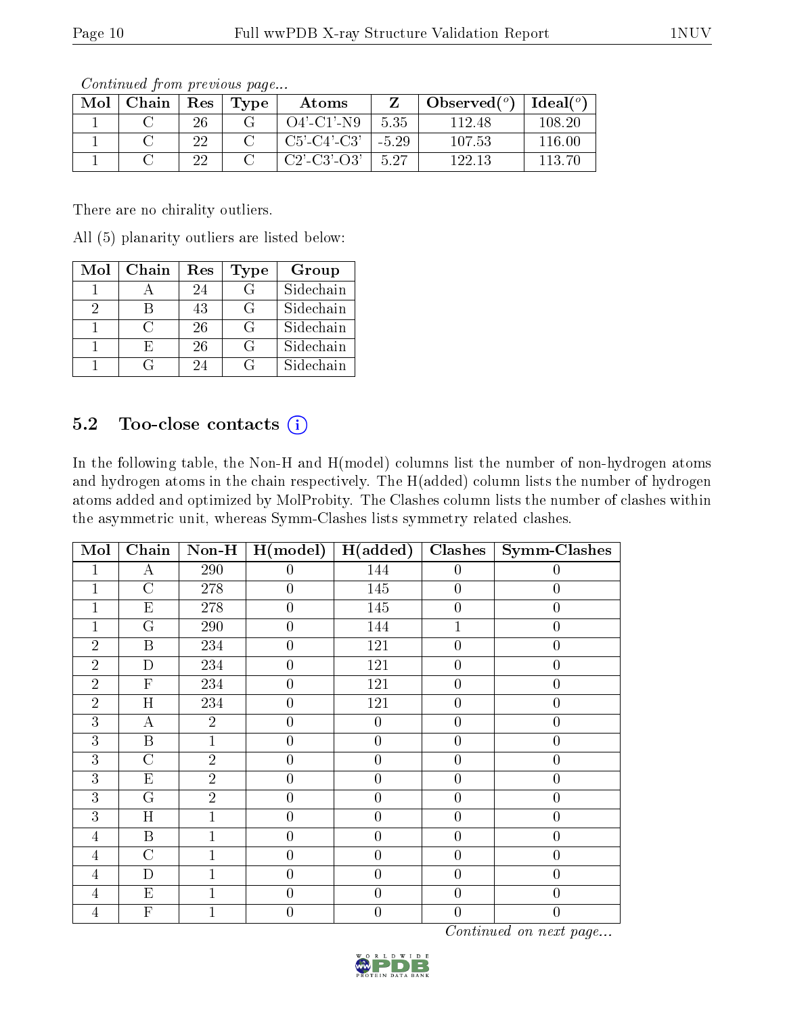| Mol | Chain | Res | Type | Atoms                 |         | Observed $(°)$ | Ideal (°) |
|-----|-------|-----|------|-----------------------|---------|----------------|-----------|
|     |       | 26  |      | $O4'$ -C1'-N9         | 5.35    | 112.48         | 108-20    |
|     |       | 22  |      | $C5'$ - $C4'$ - $C3'$ | $-5.29$ | 107.53         | 116.00    |
|     |       |     |      | $C2'$ - $C3'$ - $O3'$ | 5.27    | 122.13         | 113 ZO    |

Continued from previous page...

There are no chirality outliers.

All (5) planarity outliers are listed below:

| Mol | Chain  | Res | <b>Type</b>     | Group     |
|-----|--------|-----|-----------------|-----------|
|     |        | 24  | $\mathcal{G}$   | Sidechain |
| 9   |        | 43  | $\vert G \vert$ | Sidechain |
|     | $\cap$ | 26  | G               | Sidechain |
|     | F.     | 26  | G               | Sidechain |
|     |        | 24  | G               | Sidechain |

### 5.2 Too-close contacts (i)

In the following table, the Non-H and H(model) columns list the number of non-hydrogen atoms and hydrogen atoms in the chain respectively. The H(added) column lists the number of hydrogen atoms added and optimized by MolProbity. The Clashes column lists the number of clashes within the asymmetric unit, whereas Symm-Clashes lists symmetry related clashes.

| $\overline{\text{Mol}}$ | $\overline{\text{Chain}}$ |                | Non-H $\mid$ H(model) | $\sqrt{\text{H(added)}}$ | Clashes          | Symm-Clashes     |
|-------------------------|---------------------------|----------------|-----------------------|--------------------------|------------------|------------------|
| 1                       | А                         | 290            | $\overline{0}$        | 144                      | $\boldsymbol{0}$ | 0                |
| $\mathbf{1}$            | $\overline{\rm C}$        | 278            | $\boldsymbol{0}$      | 145                      | $\overline{0}$   | $\overline{0}$   |
| 1                       | $\mathbf{E}% _{0}$        | 278            | $\boldsymbol{0}$      | 145                      | $\overline{0}$   | $\boldsymbol{0}$ |
| 1                       | $\mathbf G$               | 290            | $\overline{0}$        | 144                      | 1                | $\boldsymbol{0}$ |
| $\overline{2}$          | B                         | 234            | $\boldsymbol{0}$      | 121                      | $\overline{0}$   | $\overline{0}$   |
| $\overline{2}$          | $\mathbf D$               | 234            | $\overline{0}$        | 121                      | $\overline{0}$   | $\boldsymbol{0}$ |
| $\overline{2}$          | $\overline{F}$            | 234            | $\overline{0}$        | 121                      | $\overline{0}$   | $\overline{0}$   |
| $\overline{2}$          | $\overline{\mathrm{H}}$   | 234            | $\overline{0}$        | 121                      | $\overline{0}$   | $\overline{0}$   |
| 3                       | $\overline{A}$            | $\overline{2}$ | $\boldsymbol{0}$      | $\boldsymbol{0}$         | $\boldsymbol{0}$ | $\boldsymbol{0}$ |
| 3                       | B                         | 1              | $\boldsymbol{0}$      | $\overline{0}$           | $\boldsymbol{0}$ | $\boldsymbol{0}$ |
| 3                       | $\overline{C}$            | $\overline{2}$ | $\overline{0}$        | $\overline{0}$           | $\boldsymbol{0}$ | $\boldsymbol{0}$ |
| 3                       | E                         | $\overline{2}$ | $\theta$              | $\overline{0}$           | $\overline{0}$   | $\overline{0}$   |
| 3                       | $\overline{G}$            | $\overline{2}$ | $\overline{0}$        | $\overline{0}$           | $\overline{0}$   | $\overline{0}$   |
| 3                       | H                         |                | $\overline{0}$        | $\overline{0}$           | $\boldsymbol{0}$ | $\overline{0}$   |
| $\overline{4}$          | $\boldsymbol{B}$          |                | $\boldsymbol{0}$      | $\overline{0}$           | $\overline{0}$   | $\boldsymbol{0}$ |
| $\overline{4}$          | $\overline{C}$            |                | $\overline{0}$        | $\boldsymbol{0}$         | $\boldsymbol{0}$ | $\boldsymbol{0}$ |
| 4                       | $\mathbf{D}$              |                | $\overline{0}$        | $\overline{0}$           | $\boldsymbol{0}$ | $\overline{0}$   |
| 4                       | E                         |                | $\theta$              | $\overline{0}$           | $\overline{0}$   | $\overline{0}$   |
| $\overline{4}$          | ${\bf F}$                 |                | $\overline{0}$        | $\overline{0}$           | $\overline{0}$   | $\overline{0}$   |

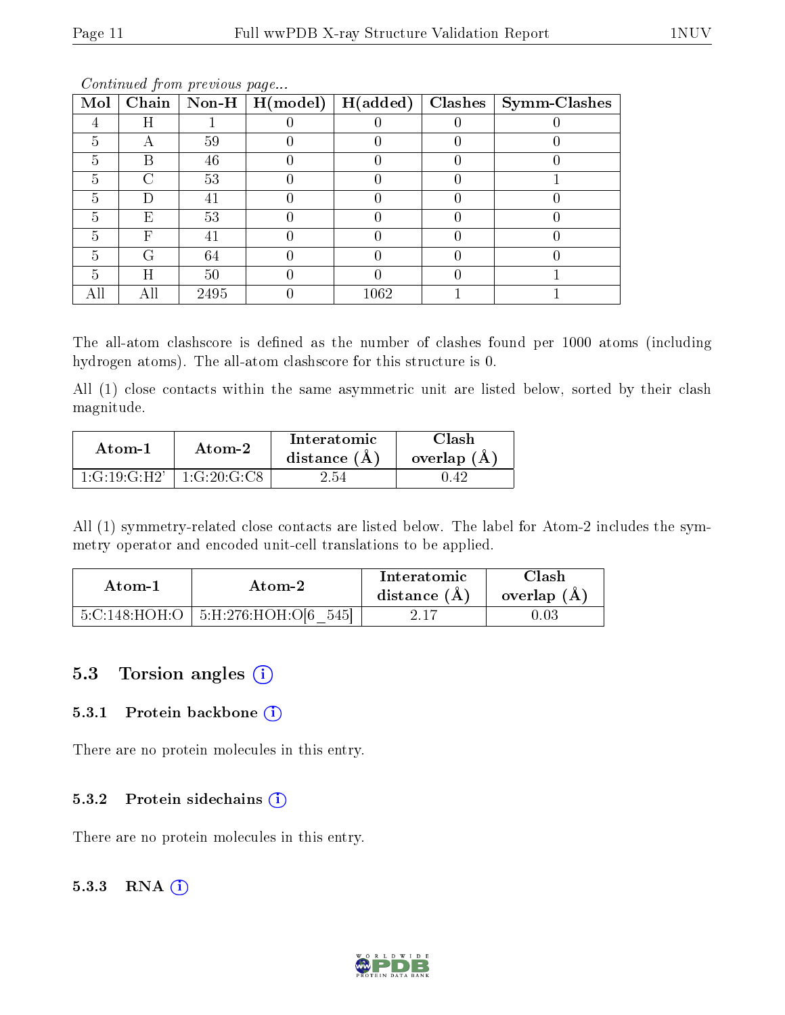| Mol |        |      | Chain   Non-H   $H (model)$ | H(added) | Clashes | $\vert$ Symm-Clashes |
|-----|--------|------|-----------------------------|----------|---------|----------------------|
|     | Η      |      |                             |          |         |                      |
| 5   | А      | 59   |                             |          |         |                      |
| 5   | В      | 46   |                             |          |         |                      |
| 5   | $\cap$ | 53   |                             |          |         |                      |
| 5   | I)     | 41   |                             |          |         |                      |
| 5   | E      | 53   |                             |          |         |                      |
| 5   | F      | 41   |                             |          |         |                      |
| 5   | G      | 64   |                             |          |         |                      |
| 5   | Η      | 50   |                             |          |         |                      |
|     |        | 2495 |                             | 1062     |         |                      |

Continued from previous page...

The all-atom clashscore is defined as the number of clashes found per 1000 atoms (including hydrogen atoms). The all-atom clashscore for this structure is 0.

All (1) close contacts within the same asymmetric unit are listed below, sorted by their clash magnitude.

| Atom-1                                 | Atom-2                                | Interatomic<br>distance $(A)$ | Clash<br>overlap $(A)$ |
|----------------------------------------|---------------------------------------|-------------------------------|------------------------|
| $1 \cdot (1 \cdot 19 \cdot G \cdot H)$ | $1: \text{G}:20: \text{G}: \text{C}8$ | ' 54                          |                        |

All (1) symmetry-related close contacts are listed below. The label for Atom-2 includes the symmetry operator and encoded unit-cell translations to be applied.

| Atom-2 |                                          | Interatomic    | Clash         |  |
|--------|------------------------------------------|----------------|---------------|--|
| Atom-1 |                                          | distance $(A)$ | overlap $(A)$ |  |
|        | $5:C:148:HOH:O$   $5:H:276:HOH:O[6 545]$ |                | $0.03\,$      |  |

### 5.3 Torsion angles (i)

#### 5.3.1 Protein backbone  $(i)$

There are no protein molecules in this entry.

#### 5.3.2 Protein sidechains (i)

There are no protein molecules in this entry.

#### 5.3.3 RNA [O](https://www.wwpdb.org/validation/2017/XrayValidationReportHelp#rna)i

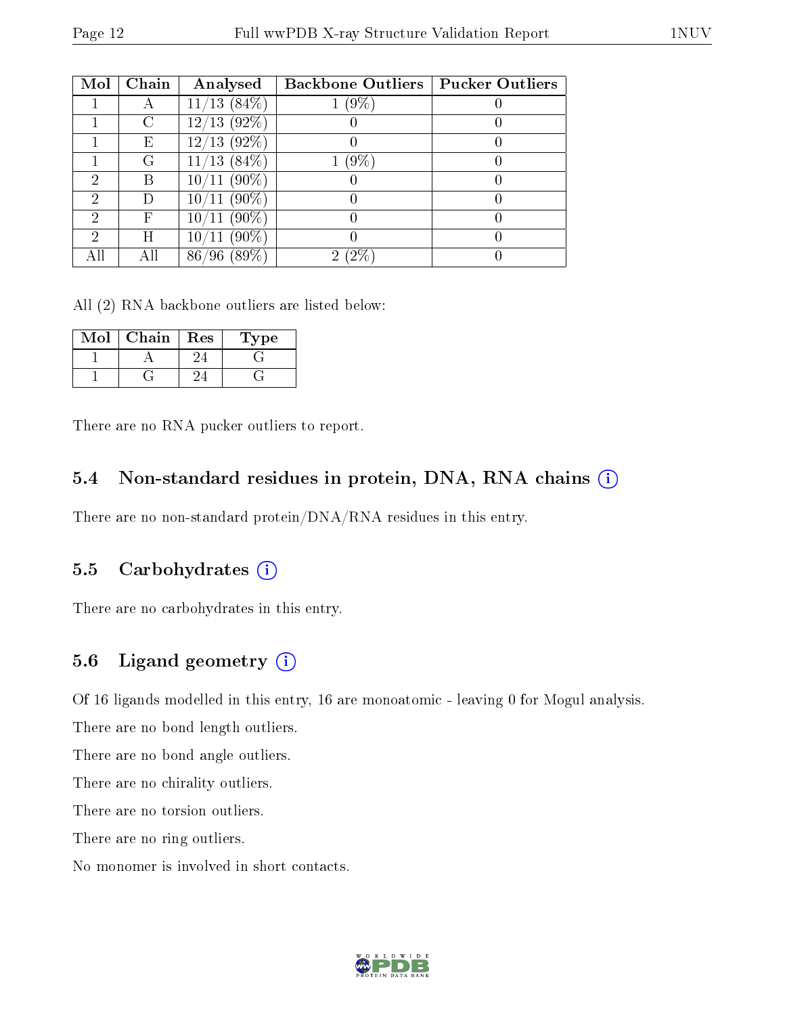| Mol | Chain | Analysed                         | <b>Backbone Outliers   Pucker Outliers</b> |  |
|-----|-------|----------------------------------|--------------------------------------------|--|
|     |       | $\sqrt{13~(84\%)}$<br>11/        | (9%                                        |  |
|     | C     | $(92\%)$<br>12/<br>$^{\prime}13$ |                                            |  |
|     | Ε     | $(92\%)$<br>$^{\prime}13$<br>12/ |                                            |  |
|     | G     | $(84\%)$<br>13                   | $(9\%$                                     |  |
| 2   | В     | $(90\%)$<br>10 <sub>l</sub>      |                                            |  |
| 2   |       | $(90\%)$<br>$10$ ,               |                                            |  |
| 2   | F     | $(90\%)$<br>$10^{\circ}$         |                                            |  |
| ച   | Η     | $^{\prime}90\%$                  |                                            |  |
|     | All   | $89\%$<br>86                     |                                            |  |

All (2) RNA backbone outliers are listed below:

| Mol | Chain | Res | Type |
|-----|-------|-----|------|
|     |       |     |      |
|     |       |     |      |

There are no RNA pucker outliers to report.

#### 5.4 Non-standard residues in protein, DNA, RNA chains (i)

There are no non-standard protein/DNA/RNA residues in this entry.

#### 5.5 Carbohydrates (i)

There are no carbohydrates in this entry.

#### 5.6 Ligand geometry (i)

Of 16 ligands modelled in this entry, 16 are monoatomic - leaving 0 for Mogul analysis.

There are no bond length outliers.

There are no bond angle outliers.

There are no chirality outliers.

There are no torsion outliers.

There are no ring outliers.

No monomer is involved in short contacts.

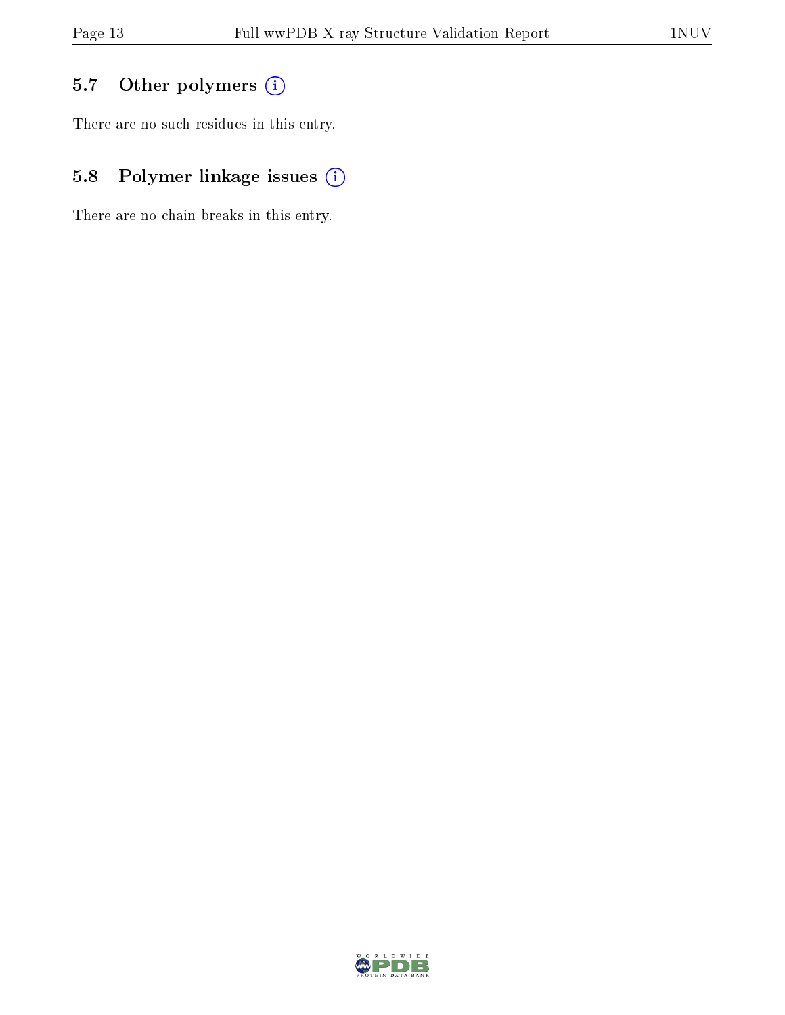### 5.7 [O](https://www.wwpdb.org/validation/2017/XrayValidationReportHelp#nonstandard_residues_and_ligands)ther polymers (i)

There are no such residues in this entry.

### 5.8 Polymer linkage issues (i)

There are no chain breaks in this entry.

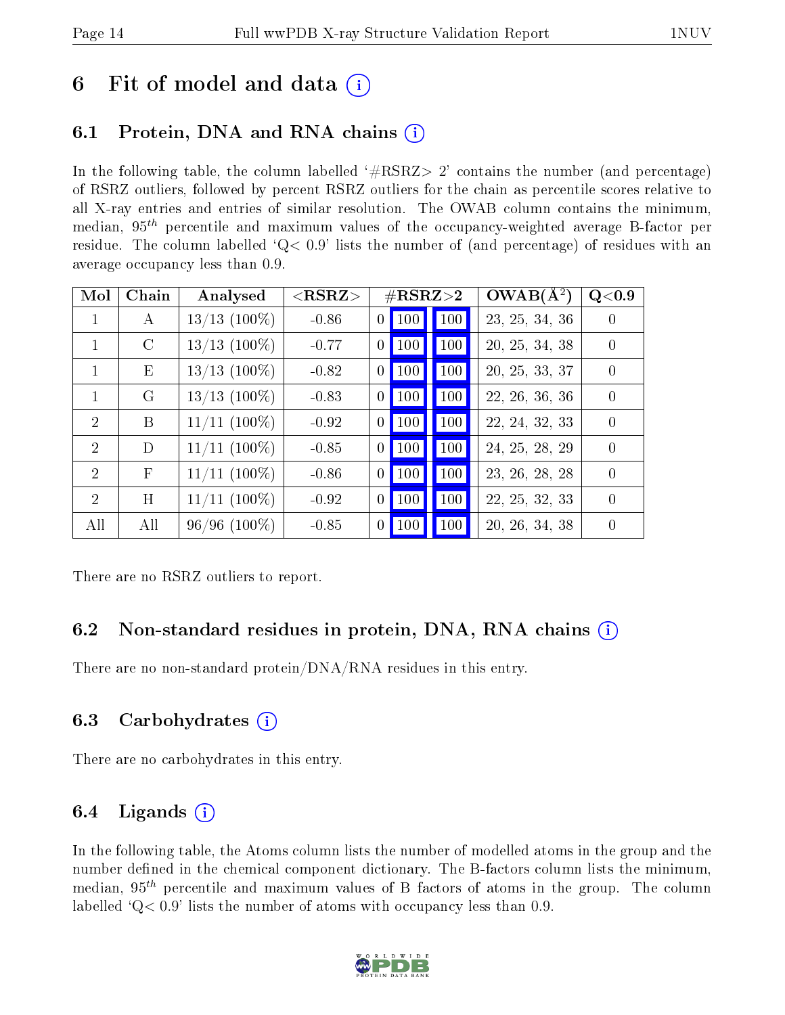## 6 Fit of model and data  $\left( \cdot \right)$

### 6.1 Protein, DNA and RNA chains (i)

In the following table, the column labelled  $#RSRZ>2'$  contains the number (and percentage) of RSRZ outliers, followed by percent RSRZ outliers for the chain as percentile scores relative to all X-ray entries and entries of similar resolution. The OWAB column contains the minimum, median,  $95<sup>th</sup>$  percentile and maximum values of the occupancy-weighted average B-factor per residue. The column labelled ' $Q< 0.9$ ' lists the number of (and percentage) of residues with an average occupancy less than 0.9.

| Mol            | Chain         | Analysed       | ${ <\hspace{-1.5pt}{\mathrm{RSRZ}} \hspace{-1.5pt}>}$ |                  |     | $\#\text{RSRZ}\text{>2}$ | $OWAB(A^2)$    | Q<0.9          |
|----------------|---------------|----------------|-------------------------------------------------------|------------------|-----|--------------------------|----------------|----------------|
| 1              | A             | $13/13$ (100%) | $-0.86$                                               | $\boldsymbol{0}$ | 100 | 100                      | 23, 25, 34, 36 | $\Omega$       |
| 1              | $\mathcal{C}$ | $13/13$ (100%) | $-0.77$                                               | $\theta$         | 100 | 100                      | 20, 25, 34, 38 | $\theta$       |
| 1              | Ε             | $13/13$ (100%) | $-0.82$                                               | $\boldsymbol{0}$ | 100 | 100                      | 20, 25, 33, 37 | $\theta$       |
| $\mathbf{1}$   | G             | $13/13$ (100%) | $-0.83$                                               | $\boldsymbol{0}$ | 100 | 100                      | 22, 26, 36, 36 | $\overline{0}$ |
| 2              | B             | $11/11$ (100%) | $-0.92$                                               | $\theta$         | 100 | 100                      | 22, 24, 32, 33 | $\theta$       |
| $\overline{2}$ | D             | $11/11$ (100%) | $-0.85$                                               | $\theta$         | 100 | 100                      | 24, 25, 28, 29 | $\theta$       |
| $\overline{2}$ | $\mathbf{F}$  | $11/11$ (100%) | $-0.86$                                               | $\theta$         | 100 | 100                      | 23, 26, 28, 28 | $\left($       |
| $\overline{2}$ | Η             | $11/11$ (100%) | $-0.92$                                               | $\theta$         | 100 | 100                      | 22, 25, 32, 33 | $\left($       |
| All            | All           | $96/96$ (100%) | $-0.85$                                               | $\overline{0}$   | 100 | 100                      | 20, 26, 34, 38 | $\overline{0}$ |

There are no RSRZ outliers to report.

### 6.2 Non-standard residues in protein, DNA, RNA chains (i)

There are no non-standard protein/DNA/RNA residues in this entry.

#### 6.3 Carbohydrates (i)

There are no carbohydrates in this entry.

### 6.4 Ligands  $(i)$

In the following table, the Atoms column lists the number of modelled atoms in the group and the number defined in the chemical component dictionary. The B-factors column lists the minimum, median,  $95<sup>th</sup>$  percentile and maximum values of B factors of atoms in the group. The column labelled  $Q< 0.9$ ' lists the number of atoms with occupancy less than 0.9.